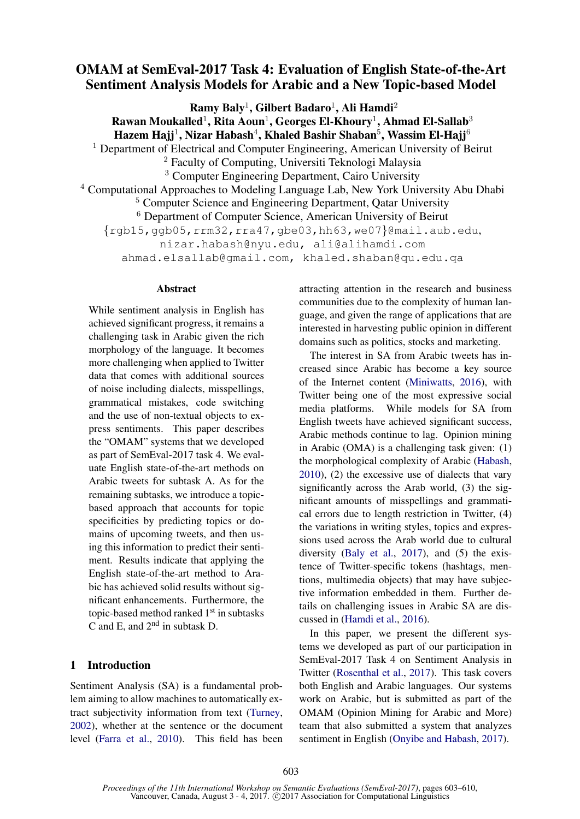# OMAM at SemEval-2017 Task 4: Evaluation of English State-of-the-Art Sentiment Analysis Models for Arabic and a New Topic-based Model

 $\bf{Ramy~Baly}^1, \bf{Gilbert~Badaro}^1, \bf{Ali~Hamdi}^2$ Rawan Moukalled $^1$ , Rita Aoun $^1$ , Georges El-Khoury $^1$ , Ahmad El-Sallab $^3$ Hazem Hajj $^1$ , Nizar Habash $^4$ , Khaled Bashir Shaban $^5$ , Wassim El-Hajj $^6$ <sup>1</sup> Department of Electrical and Computer Engineering, American University of Beirut <sup>2</sup> Faculty of Computing, Universiti Teknologi Malaysia <sup>3</sup> Computer Engineering Department, Cairo University <sup>4</sup> Computational Approaches to Modeling Language Lab, New York University Abu Dhabi <sup>5</sup> Computer Science and Engineering Department, Qatar University <sup>6</sup> Department of Computer Science, American University of Beirut  $\{rqb15, qqb05, rrm32, rra47, qbe03, hh63, we07\}$ @mail.aub.edu, nizar.habash@nyu.edu, ali@alihamdi.com ahmad.elsallab@gmail.com, khaled.shaban@qu.edu.qa

### Abstract

While sentiment analysis in English has achieved significant progress, it remains a challenging task in Arabic given the rich morphology of the language. It becomes more challenging when applied to Twitter data that comes with additional sources of noise including dialects, misspellings, grammatical mistakes, code switching and the use of non-textual objects to express sentiments. This paper describes the "OMAM" systems that we developed as part of SemEval-2017 task 4. We evaluate English state-of-the-art methods on Arabic tweets for subtask A. As for the remaining subtasks, we introduce a topicbased approach that accounts for topic specificities by predicting topics or domains of upcoming tweets, and then using this information to predict their sentiment. Results indicate that applying the English state-of-the-art method to Arabic has achieved solid results without significant enhancements. Furthermore, the topic-based method ranked 1<sup>st</sup> in subtasks C and E, and 2nd in subtask D.

# 1 Introduction

Sentiment Analysis (SA) is a fundamental problem aiming to allow machines to automatically extract subjectivity information from text (Turney, 2002), whether at the sentence or the document level (Farra et al., 2010). This field has been attracting attention in the research and business communities due to the complexity of human language, and given the range of applications that are interested in harvesting public opinion in different domains such as politics, stocks and marketing.

The interest in SA from Arabic tweets has increased since Arabic has become a key source of the Internet content (Miniwatts, 2016), with Twitter being one of the most expressive social media platforms. While models for SA from English tweets have achieved significant success, Arabic methods continue to lag. Opinion mining in Arabic (OMA) is a challenging task given: (1) the morphological complexity of Arabic (Habash, 2010), (2) the excessive use of dialects that vary significantly across the Arab world, (3) the significant amounts of misspellings and grammatical errors due to length restriction in Twitter, (4) the variations in writing styles, topics and expressions used across the Arab world due to cultural diversity (Baly et al., 2017), and (5) the existence of Twitter-specific tokens (hashtags, mentions, multimedia objects) that may have subjective information embedded in them. Further details on challenging issues in Arabic SA are discussed in (Hamdi et al., 2016).

In this paper, we present the different systems we developed as part of our participation in SemEval-2017 Task 4 on Sentiment Analysis in Twitter (Rosenthal et al., 2017). This task covers both English and Arabic languages. Our systems work on Arabic, but is submitted as part of the OMAM (Opinion Mining for Arabic and More) team that also submitted a system that analyzes sentiment in English (Onyibe and Habash, 2017).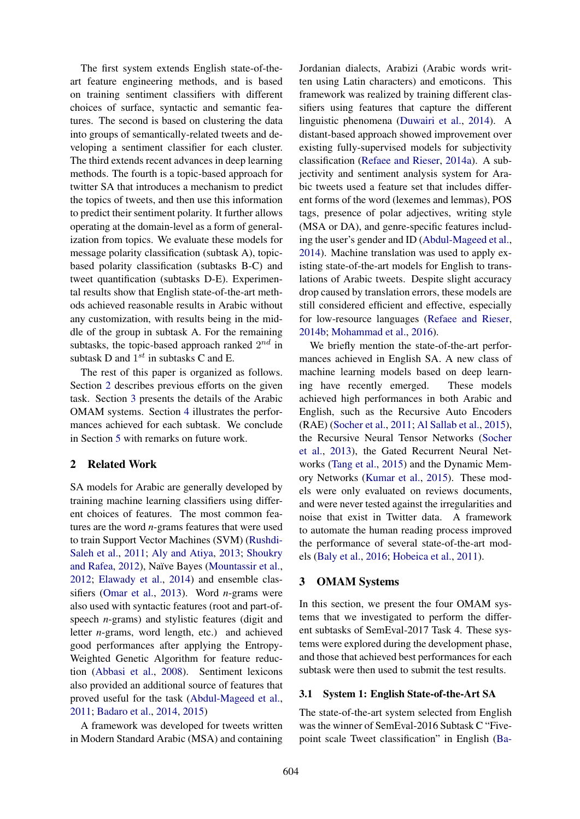The first system extends English state-of-theart feature engineering methods, and is based on training sentiment classifiers with different choices of surface, syntactic and semantic features. The second is based on clustering the data into groups of semantically-related tweets and developing a sentiment classifier for each cluster. The third extends recent advances in deep learning methods. The fourth is a topic-based approach for twitter SA that introduces a mechanism to predict the topics of tweets, and then use this information to predict their sentiment polarity. It further allows operating at the domain-level as a form of generalization from topics. We evaluate these models for message polarity classification (subtask A), topicbased polarity classification (subtasks B-C) and tweet quantification (subtasks D-E). Experimental results show that English state-of-the-art methods achieved reasonable results in Arabic without any customization, with results being in the middle of the group in subtask A. For the remaining subtasks, the topic-based approach ranked  $2^{nd}$  in subtask D and  $1^{st}$  in subtasks C and E.

The rest of this paper is organized as follows. Section 2 describes previous efforts on the given task. Section 3 presents the details of the Arabic OMAM systems. Section 4 illustrates the performances achieved for each subtask. We conclude in Section 5 with remarks on future work.

# 2 Related Work

SA models for Arabic are generally developed by training machine learning classifiers using different choices of features. The most common features are the word *n*-grams features that were used to train Support Vector Machines (SVM) (Rushdi-Saleh et al., 2011; Aly and Atiya, 2013; Shoukry and Rafea, 2012), Naïve Bayes (Mountassir et al., 2012; Elawady et al., 2014) and ensemble classifiers (Omar et al., 2013). Word *n*-grams were also used with syntactic features (root and part-ofspeech *n*-grams) and stylistic features (digit and letter *n*-grams, word length, etc.) and achieved good performances after applying the Entropy-Weighted Genetic Algorithm for feature reduction (Abbasi et al., 2008). Sentiment lexicons also provided an additional source of features that proved useful for the task (Abdul-Mageed et al., 2011; Badaro et al., 2014, 2015)

A framework was developed for tweets written in Modern Standard Arabic (MSA) and containing

Jordanian dialects, Arabizi (Arabic words written using Latin characters) and emoticons. This framework was realized by training different classifiers using features that capture the different linguistic phenomena (Duwairi et al., 2014). A distant-based approach showed improvement over existing fully-supervised models for subjectivity classification (Refaee and Rieser, 2014a). A subjectivity and sentiment analysis system for Arabic tweets used a feature set that includes different forms of the word (lexemes and lemmas), POS tags, presence of polar adjectives, writing style (MSA or DA), and genre-specific features including the user's gender and ID (Abdul-Mageed et al., 2014). Machine translation was used to apply existing state-of-the-art models for English to translations of Arabic tweets. Despite slight accuracy drop caused by translation errors, these models are still considered efficient and effective, especially for low-resource languages (Refaee and Rieser, 2014b; Mohammad et al., 2016).

We briefly mention the state-of-the-art performances achieved in English SA. A new class of machine learning models based on deep learning have recently emerged. These models achieved high performances in both Arabic and English, such as the Recursive Auto Encoders (RAE) (Socher et al., 2011; Al Sallab et al., 2015), the Recursive Neural Tensor Networks (Socher et al., 2013), the Gated Recurrent Neural Networks (Tang et al., 2015) and the Dynamic Memory Networks (Kumar et al., 2015). These models were only evaluated on reviews documents, and were never tested against the irregularities and noise that exist in Twitter data. A framework to automate the human reading process improved the performance of several state-of-the-art models (Baly et al., 2016; Hobeica et al., 2011).

# 3 OMAM Systems

In this section, we present the four OMAM systems that we investigated to perform the different subtasks of SemEval-2017 Task 4. These systems were explored during the development phase, and those that achieved best performances for each subtask were then used to submit the test results.

# 3.1 System 1: English State-of-the-Art SA

The state-of-the-art system selected from English was the winner of SemEval-2016 Subtask C "Fivepoint scale Tweet classification" in English (Ba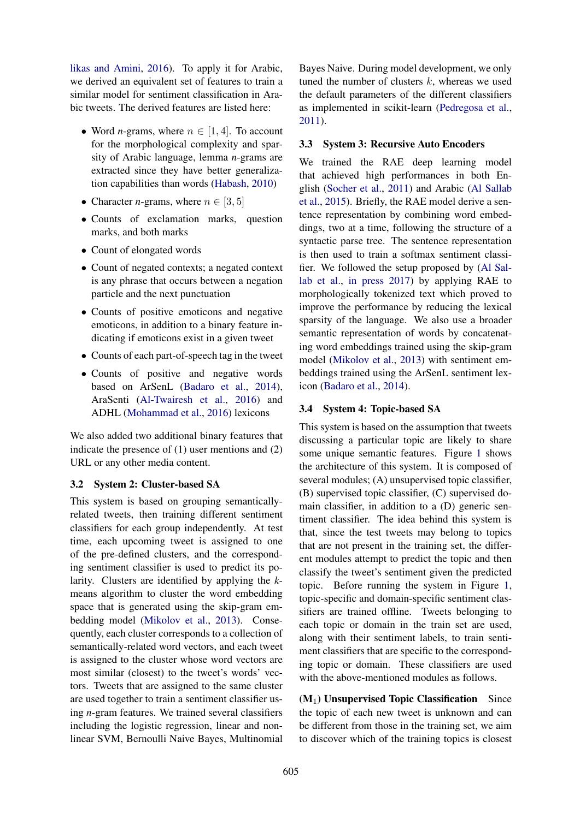likas and Amini, 2016). To apply it for Arabic, we derived an equivalent set of features to train a similar model for sentiment classification in Arabic tweets. The derived features are listed here:

- Word *n*-grams, where  $n \in [1, 4]$ . To account for the morphological complexity and sparsity of Arabic language, lemma *n*-grams are extracted since they have better generalization capabilities than words (Habash, 2010)
- Character *n*-grams, where  $n \in [3, 5]$
- Counts of exclamation marks, question marks, and both marks
- Count of elongated words
- Count of negated contexts; a negated context is any phrase that occurs between a negation particle and the next punctuation
- Counts of positive emoticons and negative emoticons, in addition to a binary feature indicating if emoticons exist in a given tweet
- Counts of each part-of-speech tag in the tweet
- Counts of positive and negative words based on ArSenL (Badaro et al., 2014), AraSenti (Al-Twairesh et al., 2016) and ADHL (Mohammad et al., 2016) lexicons

We also added two additional binary features that indicate the presence of (1) user mentions and (2) URL or any other media content.

# 3.2 System 2: Cluster-based SA

This system is based on grouping semanticallyrelated tweets, then training different sentiment classifiers for each group independently. At test time, each upcoming tweet is assigned to one of the pre-defined clusters, and the corresponding sentiment classifier is used to predict its polarity. Clusters are identified by applying the *k*means algorithm to cluster the word embedding space that is generated using the skip-gram embedding model (Mikolov et al., 2013). Consequently, each cluster corresponds to a collection of semantically-related word vectors, and each tweet is assigned to the cluster whose word vectors are most similar (closest) to the tweet's words' vectors. Tweets that are assigned to the same cluster are used together to train a sentiment classifier using *n*-gram features. We trained several classifiers including the logistic regression, linear and nonlinear SVM, Bernoulli Naive Bayes, Multinomial

Bayes Naive. During model development, we only tuned the number of clusters  $k$ , whereas we used the default parameters of the different classifiers as implemented in scikit-learn (Pedregosa et al., 2011).

## 3.3 System 3: Recursive Auto Encoders

We trained the RAE deep learning model that achieved high performances in both English (Socher et al., 2011) and Arabic (Al Sallab et al., 2015). Briefly, the RAE model derive a sentence representation by combining word embeddings, two at a time, following the structure of a syntactic parse tree. The sentence representation is then used to train a softmax sentiment classifier. We followed the setup proposed by (Al Sallab et al., in press 2017) by applying RAE to morphologically tokenized text which proved to improve the performance by reducing the lexical sparsity of the language. We also use a broader semantic representation of words by concatenating word embeddings trained using the skip-gram model (Mikolov et al., 2013) with sentiment embeddings trained using the ArSenL sentiment lexicon (Badaro et al., 2014).

# 3.4 System 4: Topic-based SA

This system is based on the assumption that tweets discussing a particular topic are likely to share some unique semantic features. Figure 1 shows the architecture of this system. It is composed of several modules; (A) unsupervised topic classifier, (B) supervised topic classifier, (C) supervised domain classifier, in addition to a (D) generic sentiment classifier. The idea behind this system is that, since the test tweets may belong to topics that are not present in the training set, the different modules attempt to predict the topic and then classify the tweet's sentiment given the predicted topic. Before running the system in Figure 1, topic-specific and domain-specific sentiment classifiers are trained offline. Tweets belonging to each topic or domain in the train set are used, along with their sentiment labels, to train sentiment classifiers that are specific to the corresponding topic or domain. These classifiers are used with the above-mentioned modules as follows.

 $(M_1)$  Unsupervised Topic Classification Since the topic of each new tweet is unknown and can be different from those in the training set, we aim to discover which of the training topics is closest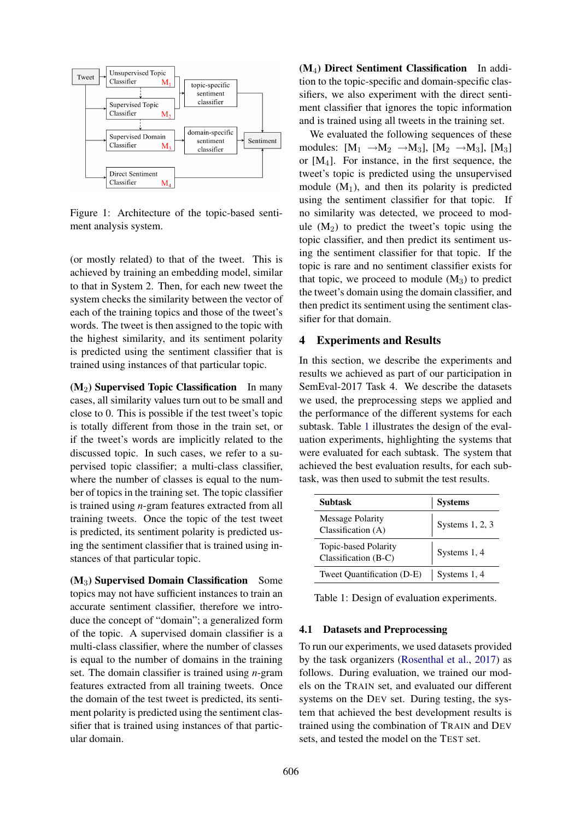

Figure 1: Architecture of the topic-based sentiment analysis system.

(or mostly related) to that of the tweet. This is achieved by training an embedding model, similar to that in System 2. Then, for each new tweet the system checks the similarity between the vector of each of the training topics and those of the tweet's words. The tweet is then assigned to the topic with the highest similarity, and its sentiment polarity is predicted using the sentiment classifier that is trained using instances of that particular topic.

 $(M_2)$  Supervised Topic Classification In many cases, all similarity values turn out to be small and close to 0. This is possible if the test tweet's topic is totally different from those in the train set, or if the tweet's words are implicitly related to the discussed topic. In such cases, we refer to a supervised topic classifier; a multi-class classifier, where the number of classes is equal to the number of topics in the training set. The topic classifier is trained using *n*-gram features extracted from all training tweets. Once the topic of the test tweet is predicted, its sentiment polarity is predicted using the sentiment classifier that is trained using instances of that particular topic.

(M3) Supervised Domain Classification Some topics may not have sufficient instances to train an accurate sentiment classifier, therefore we introduce the concept of "domain"; a generalized form of the topic. A supervised domain classifier is a multi-class classifier, where the number of classes is equal to the number of domains in the training set. The domain classifier is trained using *n*-gram features extracted from all training tweets. Once the domain of the test tweet is predicted, its sentiment polarity is predicted using the sentiment classifier that is trained using instances of that particular domain.

(M4) Direct Sentiment Classification In addition to the topic-specific and domain-specific classifiers, we also experiment with the direct sentiment classifier that ignores the topic information and is trained using all tweets in the training set.

We evaluated the following sequences of these modules:  $[M_1 \rightarrow M_2 \rightarrow M_3]$ ,  $[M_2 \rightarrow M_3]$ ,  $[M_3]$ or  $[M_4]$ . For instance, in the first sequence, the tweet's topic is predicted using the unsupervised module  $(M_1)$ , and then its polarity is predicted using the sentiment classifier for that topic. If no similarity was detected, we proceed to module  $(M_2)$  to predict the tweet's topic using the topic classifier, and then predict its sentiment using the sentiment classifier for that topic. If the topic is rare and no sentiment classifier exists for that topic, we proceed to module  $(M_3)$  to predict the tweet's domain using the domain classifier, and then predict its sentiment using the sentiment classifier for that domain.

## 4 Experiments and Results

In this section, we describe the experiments and results we achieved as part of our participation in SemEval-2017 Task 4. We describe the datasets we used, the preprocessing steps we applied and the performance of the different systems for each subtask. Table 1 illustrates the design of the evaluation experiments, highlighting the systems that were evaluated for each subtask. The system that achieved the best evaluation results, for each subtask, was then used to submit the test results.

| <b>Subtask</b>                                | <b>Systems</b>  |
|-----------------------------------------------|-----------------|
| <b>Message Polarity</b><br>Classification (A) | Systems 1, 2, 3 |
| Topic-based Polarity<br>Classification (B-C)  | Systems 1, 4    |
| Tweet Quantification (D-E)                    | Systems 1, 4    |

Table 1: Design of evaluation experiments.

## 4.1 Datasets and Preprocessing

To run our experiments, we used datasets provided by the task organizers (Rosenthal et al., 2017) as follows. During evaluation, we trained our models on the TRAIN set, and evaluated our different systems on the DEV set. During testing, the system that achieved the best development results is trained using the combination of TRAIN and DEV sets, and tested the model on the TEST set.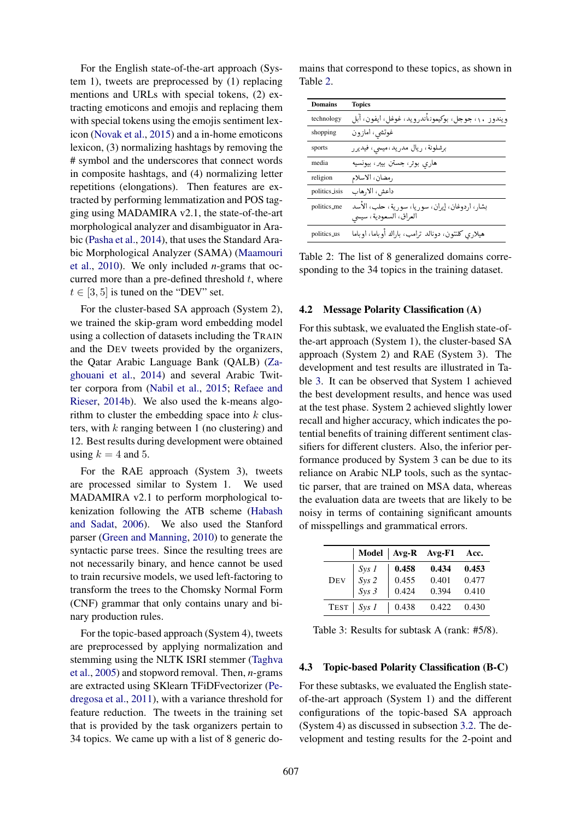For the English state-of-the-art approach (System 1), tweets are preprocessed by (1) replacing mentions and URLs with special tokens, (2) extracting emoticons and emojis and replacing them with special tokens using the emojis sentiment lexicon (Novak et al., 2015) and a in-home emoticons lexicon, (3) normalizing hashtags by removing the # symbol and the underscores that connect words in composite hashtags, and (4) normalizing letter repetitions (elongations). Then features are extracted by performing lemmatization and POS tagging using MADAMIRA v2.1, the state-of-the-art morphological analyzer and disambiguator in Arabic (Pasha et al., 2014), that uses the Standard Arabic Morphological Analyzer (SAMA) (Maamouri et al., 2010). We only included *n*-grams that occurred more than a pre-defined threshold  $t$ , where  $t \in [3, 5]$  is tuned on the "DEV" set.

For the cluster-based SA approach (System 2), we trained the skip-gram word embedding model using a collection of datasets including the TRAIN and the DEV tweets provided by the organizers, the Qatar Arabic Language Bank (QALB) (Zaghouani et al., 2014) and several Arabic Twitter corpora from (Nabil et al., 2015; Refaee and Rieser, 2014b). We also used the k-means algorithm to cluster the embedding space into  $k$  clusters, with  $k$  ranging between 1 (no clustering) and 12. Best results during development were obtained using  $k = 4$  and 5.

For the RAE approach (System 3), tweets are processed similar to System 1. We used MADAMIRA v2.1 to perform morphological tokenization following the ATB scheme (Habash and Sadat, 2006). We also used the Stanford parser (Green and Manning, 2010) to generate the syntactic parse trees. Since the resulting trees are not necessarily binary, and hence cannot be used to train recursive models, we used left-factoring to transform the trees to the Chomsky Normal Form (CNF) grammar that only contains unary and binary production rules.

For the topic-based approach (System 4), tweets are preprocessed by applying normalization and stemming using the NLTK ISRI stemmer (Taghva et al., 2005) and stopword removal. Then, *n*-grams are extracted using SKlearn TFiDFvectorizer (Pedregosa et al., 2011), with a variance threshold for feature reduction. The tweets in the training set that is provided by the task organizers pertain to 34 topics. We came up with a list of 8 generic do-

| <b>Domains</b> | <b>Topics</b>                                      |
|----------------|----------------------------------------------------|
| technology     | ويندوز ١٠، جوجل، بوكيموناأندرويد، غوغل، ايفون، أبل |
| shopping       | غوتشي، امازون                                      |
| sports         | برشلونة، ريال مدريد،ميسى، فيديرر                   |
| media          | هاري بوتر، جستن بيبر، بيونسيه                      |
| religion       | رمضان، الاسلام                                     |
| politics_isis  | داعش، الا,هاب                                      |
| politics_me    | بشار، اردوغان، إيران، سوريا، سورية، حلب، الأسد     |
|                | العراق، السعودية، سيسى                             |
| politics_us    | هیلاری کلنتون، دونالد ترامب، باراك أوباما، اوباما  |

mains that correspond to these topics, as shown in Table 2.

Table 2: The list of 8 generalized domains corresponding to the 34 topics in the training dataset.

### 4.2 Message Polarity Classification (A)

For this subtask, we evaluated the English state-ofthe-art approach (System 1), the cluster-based SA approach (System 2) and RAE (System 3). The development and test results are illustrated in Table 3. It can be observed that System 1 achieved the best development results, and hence was used at the test phase. System 2 achieved slightly lower recall and higher accuracy, which indicates the potential benefits of training different sentiment classifiers for different clusters. Also, the inferior performance produced by System 3 can be due to its reliance on Arabic NLP tools, such as the syntactic parser, that are trained on MSA data, whereas the evaluation data are tweets that are likely to be noisy in terms of containing significant amounts of misspellings and grammatical errors.

|                                                                                                                                                      |       | Model   Avg-R Avg-F1 Acc. |       |
|------------------------------------------------------------------------------------------------------------------------------------------------------|-------|---------------------------|-------|
| DEV $\begin{array}{c} \begin{array}{c} \text{Sys} \\ \text{Sys} \end{array} \\ \begin{array}{c} \text{Sys} \\ \text{Sys} \end{array} \\ \end{array}$ | 0.458 | 0.434                     | 0.453 |
|                                                                                                                                                      | 0.455 | 0.401                     | 0.477 |
|                                                                                                                                                      | 0.424 | 0.394                     | 0.410 |
| $TEST \mid Sys 1$                                                                                                                                    | 0.438 | 0.422                     | 0.430 |

Table 3: Results for subtask A (rank: #5/8).

#### 4.3 Topic-based Polarity Classification (B-C)

For these subtasks, we evaluated the English stateof-the-art approach (System 1) and the different configurations of the topic-based SA approach (System 4) as discussed in subsection 3.2. The development and testing results for the 2-point and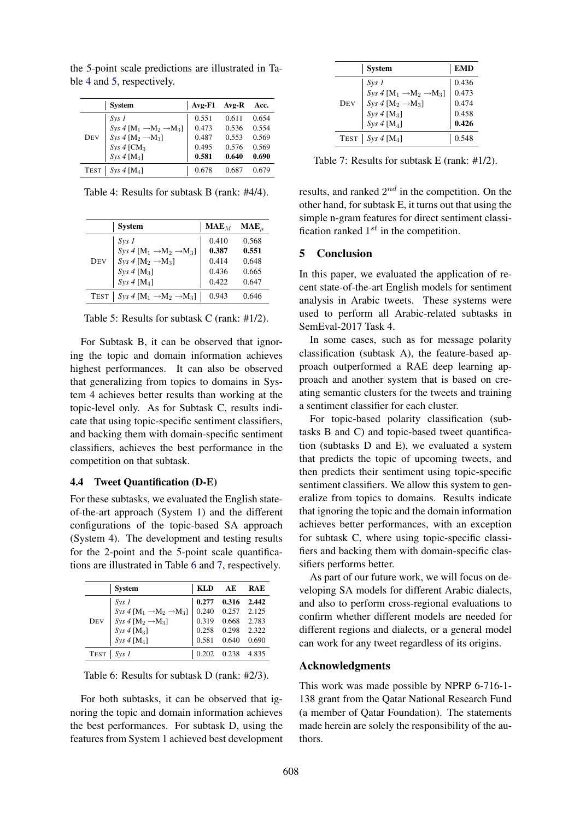|             | <b>System</b>                                 | $Avg$ - $F1$ | Avg-R | Acc.  |
|-------------|-----------------------------------------------|--------------|-------|-------|
|             | $SvS$ 1                                       | 0.551        | 0.611 | 0.654 |
|             | $Sys 4 [M_1 \rightarrow M_2 \rightarrow M_3]$ | 0.473        | 0.536 | 0.554 |
| <b>DEV</b>  | $Sys 4 [M_2 \rightarrow M_3]$                 | 0.487        | 0.553 | 0.569 |
|             | $Sys 4$ [CM <sub>3</sub>                      | 0.495        | 0.576 | 0.569 |
|             | $Sys 4$ [M <sub>4</sub> ]                     | 0.581        | 0.640 | 0.690 |
| <b>TEST</b> | $Svs 4$ [M <sub>4</sub> ]                     | 0.678        | 0.687 | 0.679 |

the 5-point scale predictions are illustrated in Table 4 and 5, respectively.

Table 4: Results for subtask B (rank: #4/4).

|             | <b>System</b>                                 | $\mathbf{MAE}_M$ | MAE <sub>u</sub> |
|-------------|-----------------------------------------------|------------------|------------------|
|             | $S_{VS}$ 1                                    | 0.410            | 0.568            |
|             | $Sys 4 [M_1 \rightarrow M_2 \rightarrow M_3]$ | 0.387            | 0.551            |
| Dev         | Sys 4 [ $M_2 \rightarrow M_3$ ]               | 0.414            | 0.648            |
|             | $Sys 4[M_3]$                                  | 0.436            | 0.665            |
|             | $Sys 4[M_4]$                                  | 0.422            | 0.647            |
| <b>TEST</b> | $Sys 4 [M_1 \rightarrow M_2 \rightarrow M_3]$ | 0.943            | 0.646            |

Table 5: Results for subtask C (rank: #1/2).

For Subtask B, it can be observed that ignoring the topic and domain information achieves highest performances. It can also be observed that generalizing from topics to domains in System 4 achieves better results than working at the topic-level only. As for Subtask C, results indicate that using topic-specific sentiment classifiers, and backing them with domain-specific sentiment classifiers, achieves the best performance in the competition on that subtask.

## 4.4 Tweet Quantification (D-E)

For these subtasks, we evaluated the English stateof-the-art approach (System 1) and the different configurations of the topic-based SA approach (System 4). The development and testing results for the 2-point and the 5-point scale quantifications are illustrated in Table 6 and 7, respectively.

|             | <b>System</b>                                 | <b>KLD</b> | AE    | RAE   |
|-------------|-----------------------------------------------|------------|-------|-------|
|             | $S_{VS}$ 1                                    | 0.277      | 0.316 | 2.442 |
|             | $Sys 4 [M_1 \rightarrow M_2 \rightarrow M_3]$ | 0.240      | 0.257 | 2.125 |
| <b>DEV</b>  | Sys 4 [ $M_2 \rightarrow M_3$ ]               | 0.319      | 0.668 | 2.783 |
|             | Sys 4 [M <sub>3</sub> ]                       | 0.258      | 0.298 | 2.322 |
|             | $Sys 4[M_4]$                                  | 0.581      | 0.640 | 0.690 |
| <b>TEST</b> | $SvS$ 1                                       | 0.202      | 0.238 | 4.835 |

Table 6: Results for subtask D (rank: #2/3).

For both subtasks, it can be observed that ignoring the topic and domain information achieves the best performances. For subtask D, using the features from System 1 achieved best development

|     | <b>System</b>                                 | <b>EMD</b> |
|-----|-----------------------------------------------|------------|
|     | Sys 1                                         | 0.436      |
|     | $Sys 4 [M_1 \rightarrow M_2 \rightarrow M_3]$ | 0.473      |
| Dev | $Sys 4 [M_2 \rightarrow M_3]$                 | 0.474      |
|     | Sys $4$ [M <sub>3</sub> ]                     | 0.458      |
|     | $Sys 4$ [M <sub>4</sub> ]                     | 0.426      |
|     | TEST   $Sys 4[M_4]$                           | 0.548      |

Table 7: Results for subtask E (rank: #1/2).

results, and ranked  $2^{nd}$  in the competition. On the other hand, for subtask E, it turns out that using the simple n-gram features for direct sentiment classification ranked  $1^{st}$  in the competition.

## 5 Conclusion

In this paper, we evaluated the application of recent state-of-the-art English models for sentiment analysis in Arabic tweets. These systems were used to perform all Arabic-related subtasks in SemEval-2017 Task 4.

In some cases, such as for message polarity classification (subtask A), the feature-based approach outperformed a RAE deep learning approach and another system that is based on creating semantic clusters for the tweets and training a sentiment classifier for each cluster.

For topic-based polarity classification (subtasks B and C) and topic-based tweet quantification (subtasks D and E), we evaluated a system that predicts the topic of upcoming tweets, and then predicts their sentiment using topic-specific sentiment classifiers. We allow this system to generalize from topics to domains. Results indicate that ignoring the topic and the domain information achieves better performances, with an exception for subtask C, where using topic-specific classifiers and backing them with domain-specific classifiers performs better.

As part of our future work, we will focus on developing SA models for different Arabic dialects, and also to perform cross-regional evaluations to confirm whether different models are needed for different regions and dialects, or a general model can work for any tweet regardless of its origins.

## Acknowledgments

This work was made possible by NPRP 6-716-1- 138 grant from the Qatar National Research Fund (a member of Qatar Foundation). The statements made herein are solely the responsibility of the authors.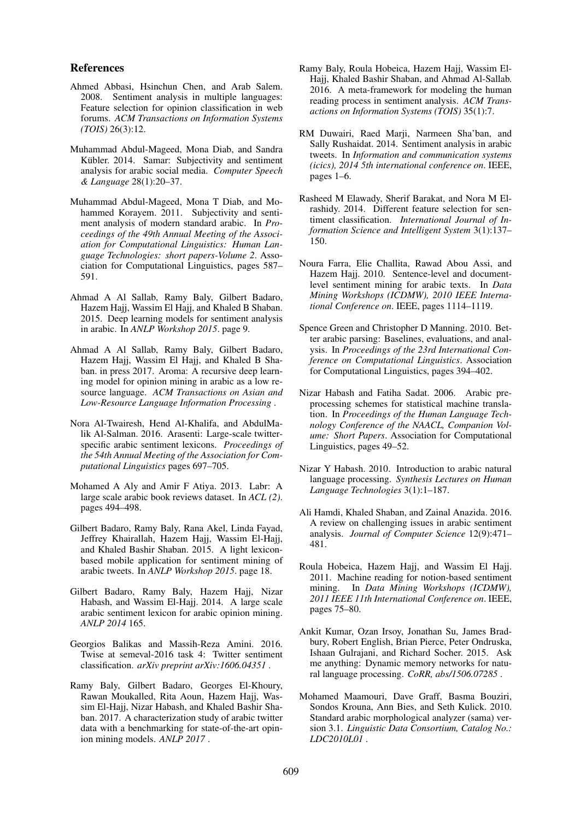### References

- Ahmed Abbasi, Hsinchun Chen, and Arab Salem. 2008. Sentiment analysis in multiple languages: Feature selection for opinion classification in web forums. *ACM Transactions on Information Systems (TOIS)* 26(3):12.
- Muhammad Abdul-Mageed, Mona Diab, and Sandra Kübler. 2014. Samar: Subjectivity and sentiment analysis for arabic social media. *Computer Speech & Language* 28(1):20–37.
- Muhammad Abdul-Mageed, Mona T Diab, and Mohammed Korayem. 2011. Subjectivity and sentiment analysis of modern standard arabic. In *Proceedings of the 49th Annual Meeting of the Association for Computational Linguistics: Human Language Technologies: short papers-Volume 2*. Association for Computational Linguistics, pages 587– 591.
- Ahmad A Al Sallab, Ramy Baly, Gilbert Badaro, Hazem Hajj, Wassim El Hajj, and Khaled B Shaban. 2015. Deep learning models for sentiment analysis in arabic. In *ANLP Workshop 2015*. page 9.
- Ahmad A Al Sallab, Ramy Baly, Gilbert Badaro, Hazem Hajj, Wassim El Hajj, and Khaled B Shaban. in press 2017. Aroma: A recursive deep learning model for opinion mining in arabic as a low resource language. *ACM Transactions on Asian and Low-Resource Language Information Processing* .
- Nora Al-Twairesh, Hend Al-Khalifa, and AbdulMalik Al-Salman. 2016. Arasenti: Large-scale twitterspecific arabic sentiment lexicons. *Proceedings of the 54th Annual Meeting of the Association for Computational Linguistics* pages 697–705.
- Mohamed A Aly and Amir F Atiya. 2013. Labr: A large scale arabic book reviews dataset. In *ACL (2)*. pages 494–498.
- Gilbert Badaro, Ramy Baly, Rana Akel, Linda Fayad, Jeffrey Khairallah, Hazem Hajj, Wassim El-Hajj, and Khaled Bashir Shaban. 2015. A light lexiconbased mobile application for sentiment mining of arabic tweets. In *ANLP Workshop 2015*. page 18.
- Gilbert Badaro, Ramy Baly, Hazem Hajj, Nizar Habash, and Wassim El-Hajj. 2014. A large scale arabic sentiment lexicon for arabic opinion mining. *ANLP 2014* 165.
- Georgios Balikas and Massih-Reza Amini. 2016. Twise at semeval-2016 task 4: Twitter sentiment classification. *arXiv preprint arXiv:1606.04351* .
- Ramy Baly, Gilbert Badaro, Georges El-Khoury, Rawan Moukalled, Rita Aoun, Hazem Hajj, Wassim El-Hajj, Nizar Habash, and Khaled Bashir Shaban. 2017. A characterization study of arabic twitter data with a benchmarking for state-of-the-art opinion mining models. *ANLP 2017* .
- Ramy Baly, Roula Hobeica, Hazem Hajj, Wassim El-Hajj, Khaled Bashir Shaban, and Ahmad Al-Sallab. 2016. A meta-framework for modeling the human reading process in sentiment analysis. *ACM Transactions on Information Systems (TOIS)* 35(1):7.
- RM Duwairi, Raed Marji, Narmeen Sha'ban, and Sally Rushaidat. 2014. Sentiment analysis in arabic tweets. In *Information and communication systems (icics), 2014 5th international conference on*. IEEE, pages 1–6.
- Rasheed M Elawady, Sherif Barakat, and Nora M Elrashidy. 2014. Different feature selection for sentiment classification. *International Journal of Information Science and Intelligent System* 3(1):137– 150.
- Noura Farra, Elie Challita, Rawad Abou Assi, and Hazem Hajj. 2010. Sentence-level and documentlevel sentiment mining for arabic texts. In *Data Mining Workshops (ICDMW), 2010 IEEE International Conference on*. IEEE, pages 1114–1119.
- Spence Green and Christopher D Manning. 2010. Better arabic parsing: Baselines, evaluations, and analysis. In *Proceedings of the 23rd International Conference on Computational Linguistics*. Association for Computational Linguistics, pages 394–402.
- Nizar Habash and Fatiha Sadat. 2006. Arabic preprocessing schemes for statistical machine translation. In *Proceedings of the Human Language Technology Conference of the NAACL, Companion Volume: Short Papers*. Association for Computational Linguistics, pages 49–52.
- Nizar Y Habash. 2010. Introduction to arabic natural language processing. *Synthesis Lectures on Human Language Technologies* 3(1):1–187.
- Ali Hamdi, Khaled Shaban, and Zainal Anazida. 2016. A review on challenging issues in arabic sentiment analysis. *Journal of Computer Science* 12(9):471– 481.
- Roula Hobeica, Hazem Hajj, and Wassim El Hajj. 2011. Machine reading for notion-based sentiment mining. In *Data Mining Workshops (ICDMW), 2011 IEEE 11th International Conference on*. IEEE, pages 75–80.
- Ankit Kumar, Ozan Irsoy, Jonathan Su, James Bradbury, Robert English, Brian Pierce, Peter Ondruska, Ishaan Gulrajani, and Richard Socher. 2015. Ask me anything: Dynamic memory networks for natural language processing. *CoRR, abs/1506.07285* .
- Mohamed Maamouri, Dave Graff, Basma Bouziri, Sondos Krouna, Ann Bies, and Seth Kulick. 2010. Standard arabic morphological analyzer (sama) version 3.1. *Linguistic Data Consortium, Catalog No.: LDC2010L01* .